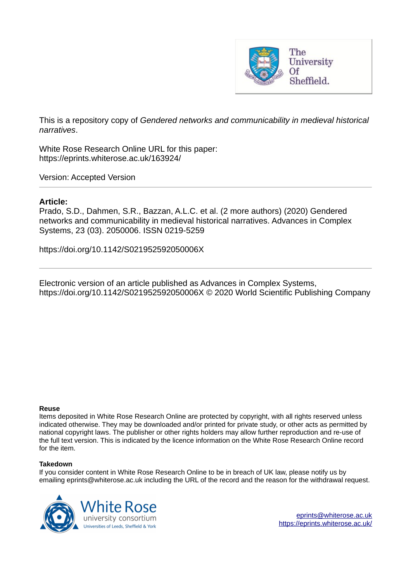

This is a repository copy of *Gendered networks and communicability in medieval historical narratives*.

White Rose Research Online URL for this paper: https://eprints.whiterose.ac.uk/163924/

Version: Accepted Version

# **Article:**

Prado, S.D., Dahmen, S.R., Bazzan, A.L.C. et al. (2 more authors) (2020) Gendered networks and communicability in medieval historical narratives. Advances in Complex Systems, 23 (03). 2050006. ISSN 0219-5259

https://doi.org/10.1142/S021952592050006X

Electronic version of an article published as Advances in Complex Systems, https://doi.org/10.1142/S021952592050006X © 2020 World Scientific Publishing Company

## **Reuse**

Items deposited in White Rose Research Online are protected by copyright, with all rights reserved unless indicated otherwise. They may be downloaded and/or printed for private study, or other acts as permitted by national copyright laws. The publisher or other rights holders may allow further reproduction and re-use of the full text version. This is indicated by the licence information on the White Rose Research Online record for the item.

## **Takedown**

If you consider content in White Rose Research Online to be in breach of UK law, please notify us by emailing eprints@whiterose.ac.uk including the URL of the record and the reason for the withdrawal request.



eprints@whiterose.ac.uk https://eprints.whiterose.ac.uk/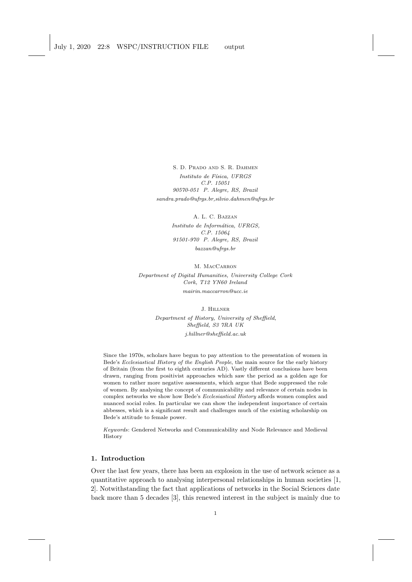S. D. Prado and S. R. Dahmen Instituto de Física, UFRGS C.P. 15051 90570-051 P. Alegre, RS, Brazil  $s and ra. prado@ufrgs.br, silvio.dahmen@ufrgs.br$ 

> A. L. C. Bazzan Instituto de Informática, UFRGS, C.P. 15064 91501-970 P. Alegre, RS, Brazil  $b$ azzan@ufras.br

M. MACCARRON Department of Digital Humanities, University College Cork Cork, T12 YN60 Ireland mairin.maccarron@ucc.ie

> J. Hillner Department of History, University of Sheffield, Sheffield, S3 7RA UK j.hillner@sheffield.ac.uk

Since the 1970s, scholars have begun to pay attention to the presentation of women in Bede's Ecclesiastical History of the English People, the main source for the early history of Britain (from the first to eighth centuries AD). Vastly different conclusions have been drawn, ranging from positivist approaches which saw the period as a golden age for women to rather more negative assessments, which argue that Bede suppressed the role of women. By analysing the concept of communicability and relevance of certain nodes in complex networks we show how Bede's Ecclesiastical History affords women complex and nuanced social roles. In particular we can show the independent importance of certain abbesses, which is a significant result and challenges much of the existing scholarship on Bede's attitude to female power.

Keywords: Gendered Networks and Communicability and Node Relevance and Medieval History

## 1. Introduction

Over the last few years, there has been an explosion in the use of network science as a quantitative approach to analysing interpersonal relationships in human societies [1, 2]. Notwithstanding the fact that applications of networks in the Social Sciences date back more than 5 decades [3], this renewed interest in the subject is mainly due to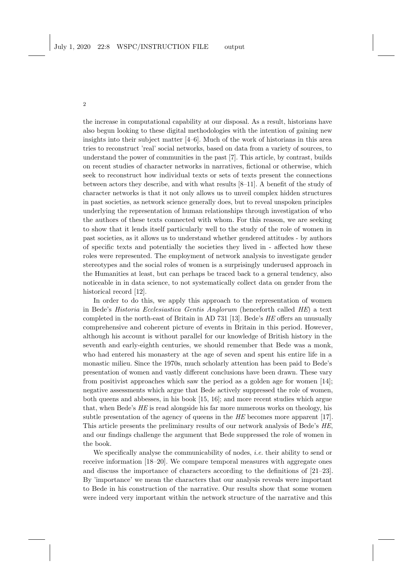the increase in computational capability at our disposal. As a result, historians have also begun looking to these digital methodologies with the intention of gaining new insights into their subject matter [4–6]. Much of the work of historians in this area tries to reconstruct 'real' social networks, based on data from a variety of sources, to understand the power of communities in the past [7]. This article, by contrast, builds on recent studies of character networks in narratives, fictional or otherwise, which seek to reconstruct how individual texts or sets of texts present the connections between actors they describe, and with what results [8–11]. A benefit of the study of character networks is that it not only allows us to unveil complex hidden structures in past societies, as network science generally does, but to reveal unspoken principles underlying the representation of human relationships through investigation of who the authors of these texts connected with whom. For this reason, we are seeking to show that it lends itself particularly well to the study of the role of women in past societies, as it allows us to understand whether gendered attitudes - by authors of specific texts and potentially the societies they lived in - affected how these roles were represented. The employment of network analysis to investigate gender stereotypes and the social roles of women is a surprisingly underused approach in the Humanities at least, but can perhaps be traced back to a general tendency, also noticeable in in data science, to not systematically collect data on gender from the historical record [12].

In order to do this, we apply this approach to the representation of women in Bede's Historia Ecclesiastica Gentis Anglorum (henceforth called HE) a text completed in the north-east of Britain in AD 731 [13]. Bede's HE offers an unusually comprehensive and coherent picture of events in Britain in this period. However, although his account is without parallel for our knowledge of British history in the seventh and early-eighth centuries, we should remember that Bede was a monk, who had entered his monastery at the age of seven and spent his entire life in a monastic milieu. Since the 1970s, much scholarly attention has been paid to Bede's presentation of women and vastly different conclusions have been drawn. These vary from positivist approaches which saw the period as a golden age for women [14]; negative assessments which argue that Bede actively suppressed the role of women, both queens and abbesses, in his book [15, 16]; and more recent studies which argue that, when Bede's HE is read alongside his far more numerous works on theology, his subtle presentation of the agency of queens in the HE becomes more apparent [17]. This article presents the preliminary results of our network analysis of Bede's HE, and our findings challenge the argument that Bede suppressed the role of women in the book.

We specifically analyse the communicability of nodes, *i.e.* their ability to send or receive information [18–20]. We compare temporal measures with aggregate ones and discuss the importance of characters according to the definitions of [21–23]. By 'importance' we mean the characters that our analysis reveals were important to Bede in his construction of the narrative. Our results show that some women were indeed very important within the network structure of the narrative and this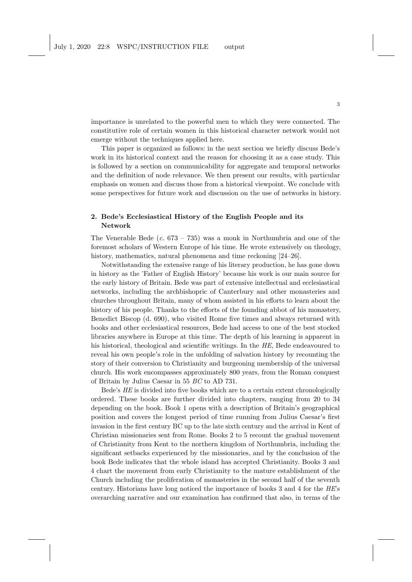importance is unrelated to the powerful men to which they were connected. The constitutive role of certain women in this historical character network would not emerge without the techniques applied here.

This paper is organized as follows: in the next section we briefly discuss Bede's work in its historical context and the reason for choosing it as a case study. This is followed by a section on communicability for aggregate and temporal networks and the definition of node relevance. We then present our results, with particular emphasis on women and discuss those from a historical viewpoint. We conclude with some perspectives for future work and discussion on the use of networks in history.

## 2. Bede's Ecclesiastical History of the English People and its Network

The Venerable Bede  $(c. 673 - 735)$  was a monk in Northumbria and one of the foremost scholars of Western Europe of his time. He wrote extensively on theology, history, mathematics, natural phenomena and time reckoning  $[24-26]$ .

Notwithstanding the extensive range of his literary production, he has gone down in history as the 'Father of English History' because his work is our main source for the early history of Britain. Bede was part of extensive intellectual and ecclesiastical networks, including the archbishopric of Canterbury and other monasteries and churches throughout Britain, many of whom assisted in his efforts to learn about the history of his people. Thanks to the efforts of the founding abbot of his monastery, Benedict Biscop (d. 690), who visited Rome five times and always returned with books and other ecclesiastical resources, Bede had access to one of the best stocked libraries anywhere in Europe at this time. The depth of his learning is apparent in his historical, theological and scientific writings. In the HE, Bede endeavoured to reveal his own people's role in the unfolding of salvation history by recounting the story of their conversion to Christianity and burgeoning membership of the universal church. His work encompasses approximately 800 years, from the Roman conquest of Britain by Julius Caesar in 55 BC to AD 731.

Bede's HE is divided into five books which are to a certain extent chronologically ordered. These books are further divided into chapters, ranging from 20 to 34 depending on the book. Book 1 opens with a description of Britain's geographical position and covers the longest period of time running from Julius Caesar's first invasion in the first century BC up to the late sixth century and the arrival in Kent of Christian missionaries sent from Rome. Books 2 to 5 recount the gradual movement of Christianity from Kent to the northern kingdom of Northumbria, including the significant setbacks experienced by the missionaries, and by the conclusion of the book Bede indicates that the whole island has accepted Christianity. Books 3 and 4 chart the movement from early Christianity to the mature establishment of the Church including the proliferation of monasteries in the second half of the seventh century. Historians have long noticed the importance of books 3 and 4 for the HE's overarching narrative and our examination has confirmed that also, in terms of the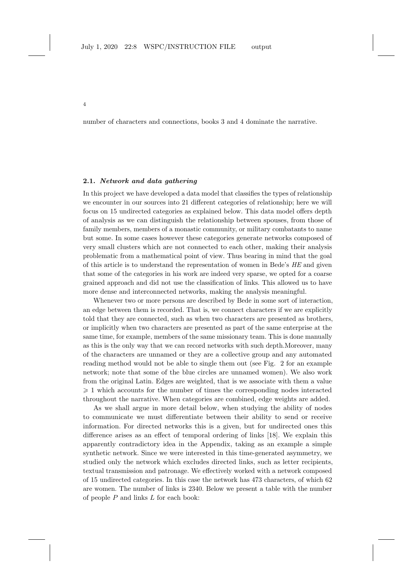number of characters and connections, books 3 and 4 dominate the narrative.

## 2.1. Network and data gathering

4

In this project we have developed a data model that classifies the types of relationship we encounter in our sources into 21 different categories of relationship; here we will focus on 15 undirected categories as explained below. This data model offers depth of analysis as we can distinguish the relationship between spouses, from those of family members, members of a monastic community, or military combatants to name but some. In some cases however these categories generate networks composed of very small clusters which are not connected to each other, making their analysis problematic from a mathematical point of view. Thus bearing in mind that the goal of this article is to understand the representation of women in Bede's HE and given that some of the categories in his work are indeed very sparse, we opted for a coarse grained approach and did not use the classification of links. This allowed us to have more dense and interconnected networks, making the analysis meaningful.

Whenever two or more persons are described by Bede in some sort of interaction, an edge between them is recorded. That is, we connect characters if we are explicitly told that they are connected, such as when two characters are presented as brothers, or implicitly when two characters are presented as part of the same enterprise at the same time, for example, members of the same missionary team. This is done manually as this is the only way that we can record networks with such depth.Moreover, many of the characters are unnamed or they are a collective group and any automated reading method would not be able to single them out (see Fig. 2 for an example network; note that some of the blue circles are unnamed women). We also work from the original Latin. Edges are weighted, that is we associate with them a value  $\geq 1$  which accounts for the number of times the corresponding nodes interacted throughout the narrative. When categories are combined, edge weights are added.

As we shall argue in more detail below, when studying the ability of nodes to communicate we must differentiate between their ability to send or receive information. For directed networks this is a given, but for undirected ones this difference arises as an effect of temporal ordering of links [18]. We explain this apparently contradictory idea in the Appendix, taking as an example a simple synthetic network. Since we were interested in this time-generated asymmetry, we studied only the network which excludes directed links, such as letter recipients, textual transmission and patronage. We effectively worked with a network composed of 15 undirected categories. In this case the network has 473 characters, of which 62 are women. The number of links is 2340. Below we present a table with the number of people P and links L for each book: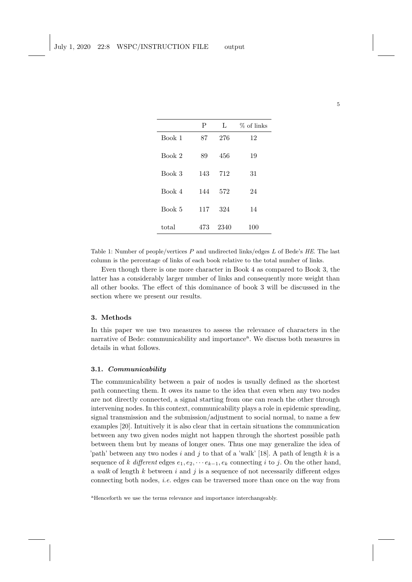|        | P   | L    | % of links |
|--------|-----|------|------------|
| Book 1 | 87  | 276  | 12         |
| Book 2 | 89  | 456  | 19         |
| Book 3 | 143 | 712  | 31         |
| Book 4 | 144 | 572  | 24         |
| Book 5 | 117 | 324  | 14         |
| total  | 473 | 2340 | 100        |

Table 1: Number of people/vertices P and undirected links/edges L of Bede's *HE*. The last column is the percentage of links of each book relative to the total number of links.

Even though there is one more character in Book 4 as compared to Book 3, the latter has a considerably larger number of links and consequently more weight than all other books. The effect of this dominance of book 3 will be discussed in the section where we present our results.

#### 3. Methods

In this paper we use two measures to assess the relevance of characters in the narrative of Bede: communicability and importance<sup>a</sup>. We discuss both measures in details in what follows.

## 3.1. Communicability

The communicability between a pair of nodes is usually defined as the shortest path connecting them. It owes its name to the idea that even when any two nodes are not directly connected, a signal starting from one can reach the other through intervening nodes. In this context, communicability plays a role in epidemic spreading, signal transmission and the submission/adjustment to social normal, to name a few examples [20]. Intuitively it is also clear that in certain situations the communication between any two given nodes might not happen through the shortest possible path between them but by means of longer ones. Thus one may generalize the idea of 'path' between any two nodes i and j to that of a 'walk' [18]. A path of length k is a sequence of k different edges  $e_1, e_2, \dots e_{k-1}, e_k$  connecting i to j. On the other hand, a walk of length  $k$  between  $i$  and  $j$  is a sequence of not necessarily different edges connecting both nodes, i.e. edges can be traversed more than once on the way from

<sup>a</sup>Henceforth we use the terms relevance and importance interchangeably.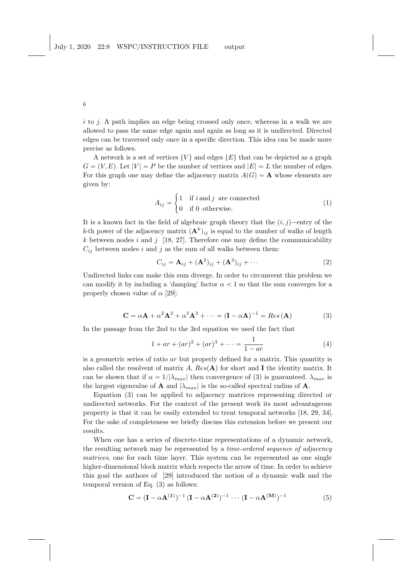i to j. A path implies an edge being crossed only once, whereas in a walk we are allowed to pass the same edge again and again as long as it is undirected. Directed edges can be traversed only once in a specific direction. This idea can be made more precise as follows.

A network is a set of vertices  $\{V\}$  and edges  $\{E\}$  that can be depicted as a graph  $G = (V, E)$ . Let  $|V| = P$  be the number of vertices and  $|E| = L$  the number of edges. For this graph one may define the adjacency matrix  $A(G) = A$  whose elements are given by:

$$
A_{ij} = \begin{cases} 1 & \text{if } i \text{ and } j \text{ are connected} \\ 0 & \text{if } 0 \text{ otherwise.} \end{cases}
$$
 (1)

It is a known fact in the field of algebraic graph theory that the  $(i, j)$ -entry of the k-th power of the adjacency matrix  $(\mathbf{A}^k)_{ij}$  is equal to the number of walks of length  $k$  between nodes i and j [18, 27]. Therefore one may define the communicability  $C_{ij}$  between nodes i and j as the sum of all walks between them:

$$
C_{ij} = \mathbf{A}_{ij} + (\mathbf{A}^2)_{ij} + (\mathbf{A}^3)_{ij} + \cdots
$$
 (2)

Undirected links can make this sum diverge. In order to circumvent this problem we can modify it by including a 'damping' factor  $\alpha < 1$  so that the sum converges for a properly chosen value of  $\alpha$  [29]:

$$
\mathbf{C} = \alpha \mathbf{A} + \alpha^2 \mathbf{A}^2 + \alpha^3 \mathbf{A}^3 + \dots = (\mathbf{I} - \alpha \mathbf{A})^{-1} = Res(\mathbf{A})
$$
(3)

In the passage from the 2nd to the 3rd equation we used the fact that

$$
1 + ar + (ar)2 + (ar)3 + \dots = \frac{1}{1 - ar}
$$
 (4)

is a geometric series of ratio ar but properly defined for a matrix. This quantity is also called the resolvent of matrix A,  $Res(A)$  for short and I the identity matrix. It can be shown that if  $\alpha = 1/|\lambda_{max}|$  then convergence of (3) is guaranteed.  $\lambda_{max}$  is the largest eigenvalue of **A** and  $|\lambda_{max}|$  is the so-called spectral radius of **A**.

Equation (3) can be applied to adjacency matrices representing directed or undirected networks. For the context of the present work its most advantageous property is that it can be easily extended to treat temporal networks [18, 29, 34]. For the sake of completeness we briefly discuss this extension before we present our results.

When one has a series of discrete-time representations of a dynamic network, the resulting network may be represented by a time-ordered sequence of adjacency matrices, one for each time layer. This system can be represented as one single higher-dimensional block matrix which respects the arrow of time. In order to achieve this goal the authors of [29] introduced the notion of a dynamic walk and the temporal version of Eq. (3) as follows:

$$
C = (I - \alpha A^{(1)})^{-1} (I - \alpha A^{(2)})^{-1} \cdots (I - \alpha A^{(M)})^{-1}
$$
(5)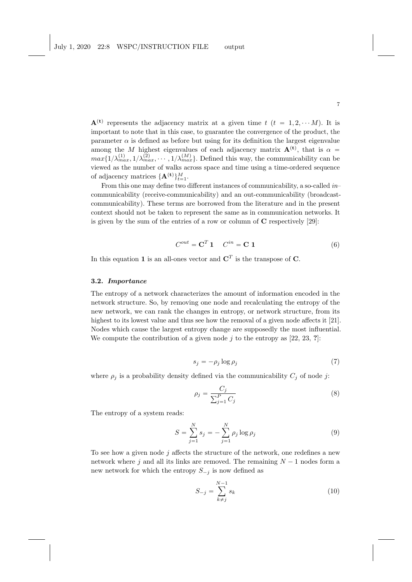$\mathbf{A}^{(t)}$  represents the adjacency matrix at a given time t  $(t = 1, 2, \dots M)$ . It is important to note that in this case, to guarantee the convergence of the product, the parameter  $\alpha$  is defined as before but using for its definition the largest eigenvalue among the M highest eigenvalues of each adjacency matrix  $A^{(t)}$ , that is  $\alpha =$  $max\{1/\lambda_{max}^{(1)}, 1/\lambda_{max}^{(2)}, \cdots, 1/\lambda_{max}^{(M)}\}$ . Defined this way, the communicability can be viewed as the number of walks across space and time using a time-ordered sequence of adjacency matrices  $\{\mathbf{A}^{(\mathbf{t})}\}_{t=1}^M$ .

From this one may define two different instances of communicability, a so-called  $in$ communicability (receive-communicability) and an out-communicability (broadcastcommunicability). These terms are borrowed from the literature and in the present context should not be taken to represent the same as in communication networks. It is given by the sum of the entries of a row or column of C respectively [29]:

$$
C^{out} = \mathbf{C}^T \mathbf{1} \qquad C^{in} = \mathbf{C} \mathbf{1} \tag{6}
$$

In this equation 1 is an all-ones vector and  $\mathbf{C}^T$  is the transpose of C.

#### 3.2. Importance

The entropy of a network characterizes the amount of information encoded in the network structure. So, by removing one node and recalculating the entropy of the new network, we can rank the changes in entropy, or network structure, from its highest to its lowest value and thus see how the removal of a given node affects it [21]. Nodes which cause the largest entropy change are supposedly the most influential. We compute the contribution of a given node j to the entropy as  $[22, 23, ?]$ :

$$
s_j = -\rho_j \log \rho_j \tag{7}
$$

where  $\rho_j$  is a probability density defined via the communicability  $C_j$  of node j:

$$
\rho_j = \frac{C_j}{\sum_{j=1}^P C_j} \tag{8}
$$

The entropy of a system reads:

$$
S = \sum_{j=1}^{N} s_j = -\sum_{j=1}^{N} \rho_j \log \rho_j
$$
 (9)

To see how a given node  $j$  affects the structure of the network, one redefines a new network where j and all its links are removed. The remaining  $N - 1$  nodes form a new network for which the entropy  $S_{-j}$  is now defined as

$$
S_{-j} = \sum_{k \neq j}^{N-1} s_k
$$
 (10)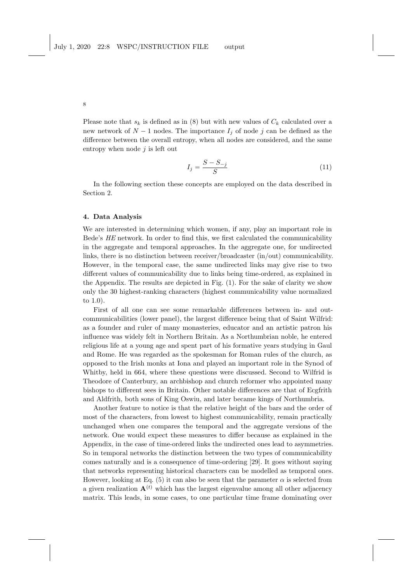Please note that  $s_k$  is defined as in (8) but with new values of  $C_k$  calculated over a new network of  $N - 1$  nodes. The importance  $I_j$  of node j can be defined as the difference between the overall entropy, when all nodes are considered, and the same entropy when node  $i$  is left out

$$
I_j = \frac{S - S_{-j}}{S} \tag{11}
$$

In the following section these concepts are employed on the data described in Section 2.

### 4. Data Analysis

We are interested in determining which women, if any, play an important role in Bede's HE network. In order to find this, we first calculated the communicability in the aggregate and temporal approaches. In the aggregate one, for undirected links, there is no distinction between receiver/broadcaster (in/out) communicability. However, in the temporal case, the same undirected links may give rise to two different values of communicability due to links being time-ordered, as explained in the Appendix. The results are depicted in Fig. (1). For the sake of clarity we show only the 30 highest-ranking characters (highest communicability value normalized to 1.0).

First of all one can see some remarkable differences between in- and outcommunicabilities (lower panel), the largest difference being that of Saint Wilfrid: as a founder and ruler of many monasteries, educator and an artistic patron his influence was widely felt in Northern Britain. As a Northumbrian noble, he entered religious life at a young age and spent part of his formative years studying in Gaul and Rome. He was regarded as the spokesman for Roman rules of the church, as opposed to the Irish monks at Iona and played an important role in the Synod of Whitby, held in 664, where these questions were discussed. Second to Wilfrid is Theodore of Canterbury, an archbishop and church reformer who appointed many bishops to different sees in Britain. Other notable differences are that of Ecgfrith and Aldfrith, both sons of King Oswiu, and later became kings of Northumbria.

Another feature to notice is that the relative height of the bars and the order of most of the characters, from lowest to highest communicability, remain practically unchanged when one compares the temporal and the aggregate versions of the network. One would expect these measures to differ because as explained in the Appendix, in the case of time-ordered links the undirected ones lead to asymmetries. So in temporal networks the distinction between the two types of communicability comes naturally and is a consequence of time-ordering [29]. It goes without saying that networks representing historical characters can be modelled as temporal ones. However, looking at Eq. (5) it can also be seen that the parameter  $\alpha$  is selected from a given realization  $\mathbf{A}^{(t)}$  which has the largest eigenvalue among all other adjacency matrix. This leads, in some cases, to one particular time frame dominating over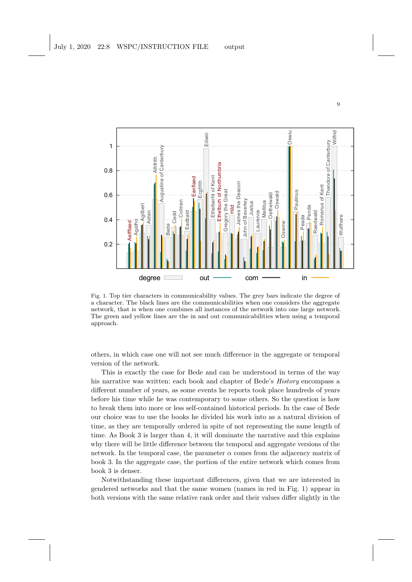

Fig. 1. Top tier characters in communicability values. The grey bars indicate the degree of a character. The black lines are the communicabilities when one considers the aggregate network, that is when one combines all instances of the network into one large network. The green and yellow lines are the in and out communicabilities when using a temporal approach.

others, in which case one will not see much difference in the aggregate or temporal version of the network.

This is exactly the case for Bede and can be understood in terms of the way his narrative was written: each book and chapter of Bede's History encompass a different number of years, as some events he reports took place hundreds of years before his time while he was contemporary to some others. So the question is how to break them into more or less self-contained historical periods. In the case of Bede our choice was to use the books he divided his work into as a natural division of time, as they are temporally ordered in spite of not representing the same length of time. As Book 3 is larger than 4, it will dominate the narrative and this explains why there will be little difference between the temporal and aggregate versions of the network. In the temporal case, the parameter  $\alpha$  comes from the adjacency matrix of book 3. In the aggregate case, the portion of the entire network which comes from book 3 is denser.

Notwithstanding these important differences, given that we are interested in gendered networks and that the same women (names in red in Fig. 1) appear in both versions with the same relative rank order and their values differ slightly in the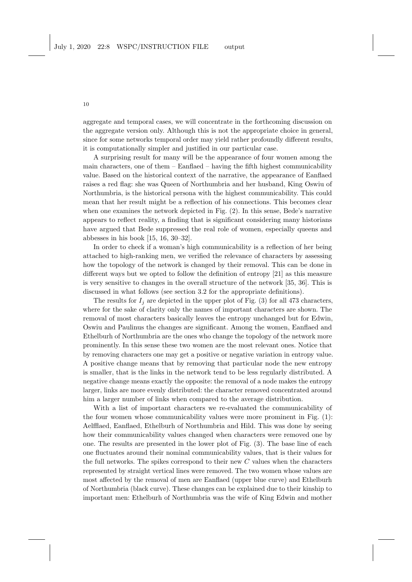aggregate and temporal cases, we will concentrate in the forthcoming discussion on the aggregate version only. Although this is not the appropriate choice in general, since for some networks temporal order may yield rather profoundly different results, it is computationally simpler and justified in our particular case.

A surprising result for many will be the appearance of four women among the main characters, one of them  $-$  Eanflaed  $-$  having the fifth highest communicability value. Based on the historical context of the narrative, the appearance of Eanflaed raises a red flag: she was Queen of Northumbria and her husband, King Oswiu of Northumbria, is the historical persona with the highest communicability. This could mean that her result might be a reflection of his connections. This becomes clear when one examines the network depicted in Fig. (2). In this sense, Bede's narrative appears to reflect reality, a finding that is significant considering many historians have argued that Bede suppressed the real role of women, especially queens and abbesses in his book [15, 16, 30–32].

In order to check if a woman's high communicability is a reflection of her being attached to high-ranking men, we verified the relevance of characters by assessing how the topology of the network is changed by their removal. This can be done in different ways but we opted to follow the definition of entropy [21] as this measure is very sensitive to changes in the overall structure of the network [35, 36]. This is discussed in what follows (see section 3.2 for the appropriate definitions).

The results for  $I_i$  are depicted in the upper plot of Fig. (3) for all 473 characters, where for the sake of clarity only the names of important characters are shown. The removal of most characters basically leaves the entropy unchanged but for Edwin, Oswiu and Paulinus the changes are significant. Among the women, Eanflaed and Ethelburh of Northumbria are the ones who change the topology of the network more prominently. In this sense these two women are the most relevant ones. Notice that by removing characters one may get a positive or negative variation in entropy value. A positive change means that by removing that particular node the new entropy is smaller, that is the links in the network tend to be less regularly distributed. A negative change means exactly the opposite: the removal of a node makes the entropy larger, links are more evenly distributed: the character removed concentrated around him a larger number of links when compared to the average distribution.

With a list of important characters we re-evaluated the communicability of the four women whose communicability values were more prominent in Fig. (1): Aelfflaed, Eanflaed, Ethelburh of Northumbria and Hild. This was done by seeing how their communicability values changed when characters were removed one by one. The results are presented in the lower plot of Fig. (3). The base line of each one fluctuates around their nominal communicability values, that is their values for the full networks. The spikes correspond to their new  $C$  values when the characters represented by straight vertical lines were removed. The two women whose values are most affected by the removal of men are Eanflaed (upper blue curve) and Ethelburh of Northumbria (black curve). These changes can be explained due to their kinship to important men: Ethelburh of Northumbria was the wife of King Edwin and mother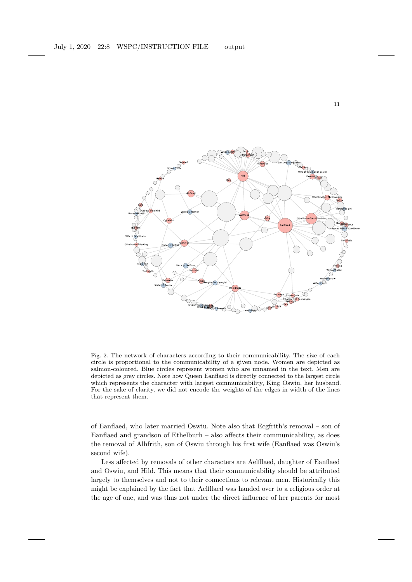

Fig. 2. The network of characters according to their communicability. The size of each circle is proportional to the communicability of a given node. Women are depicted as salmon-coloured. Blue circles represent women who are unnamed in the text. Men are depicted as grey circles. Note how Queen Eanflaed is directly connected to the largest circle which represents the character with largest communicability, King Oswiu, her husband. For the sake of clarity, we did not encode the weights of the edges in width of the lines that represent them.

of Eanflaed, who later married Oswiu. Note also that Ecgfrith's removal – son of Eanflaed and grandson of Ethelburh – also affects their communicability, as does the removal of Alhfrith, son of Oswiu through his first wife (Eanflaed was Oswiu's second wife).

Less affected by removals of other characters are Aelfflaed, daughter of Eanflaed and Oswiu, and Hild. This means that their communicability should be attributed largely to themselves and not to their connections to relevant men. Historically this might be explained by the fact that Aelfflaed was handed over to a religious order at the age of one, and was thus not under the direct influence of her parents for most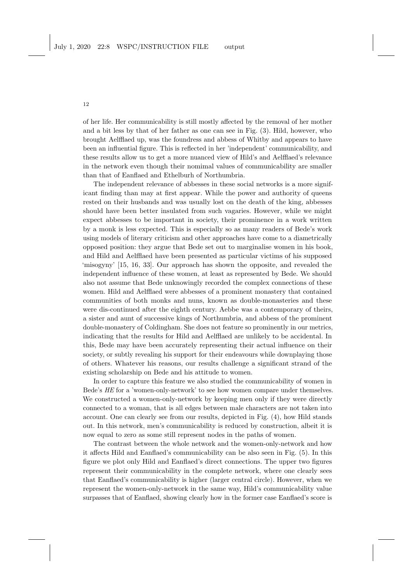of her life. Her communicability is still mostly affected by the removal of her mother and a bit less by that of her father as one can see in Fig. (3). Hild, however, who brought Aelfflaed up, was the foundress and abbess of Whitby and appears to have been an influential figure. This is reflected in her 'independent' communicability, and these results allow us to get a more nuanced view of Hild's and Aelfflaed's relevance in the network even though their nomimal values of communicability are smaller than that of Eanflaed and Ethelburh of Northumbria.

The independent relevance of abbesses in these social networks is a more significant finding than may at first appear. While the power and authority of queens rested on their husbands and was usually lost on the death of the king, abbesses should have been better insulated from such vagaries. However, while we might expect abbesses to be important in society, their prominence in a work written by a monk is less expected. This is especially so as many readers of Bede's work using models of literary criticism and other approaches have come to a diametrically opposed position: they argue that Bede set out to marginalise women in his book, and Hild and Aelfflaed have been presented as particular victims of his supposed 'misogyny' [15, 16, 33]. Our approach has shown the opposite, and revealed the independent influence of these women, at least as represented by Bede. We should also not assume that Bede unknowingly recorded the complex connections of these women. Hild and Aelfflaed were abbesses of a prominent monastery that contained communities of both monks and nuns, known as double-monasteries and these were dis-continued after the eighth century. Aebbe was a contemporary of theirs, a sister and aunt of successive kings of Northumbria, and abbess of the prominent double-monastery of Coldingham. She does not feature so prominently in our metrics, indicating that the results for Hild and Aelfflaed are unlikely to be accidental. In this, Bede may have been accurately representing their actual influence on their society, or subtly revealing his support for their endeavours while downplaying those of others. Whatever his reasons, our results challenge a significant strand of the existing scholarship on Bede and his attitude to women.

In order to capture this feature we also studied the communicability of women in Bede's HE for a 'women-only-network' to see how women compare under themselves. We constructed a women-only-network by keeping men only if they were directly connected to a woman, that is all edges between male characters are not taken into account. One can clearly see from our results, depicted in Fig. (4), how Hild stands out. In this network, men's communicability is reduced by construction, albeit it is now equal to zero as some still represent nodes in the paths of women.

The contrast between the whole network and the women-only-network and how it affects Hild and Eanflaed's communicability can be also seen in Fig. (5). In this figure we plot only Hild and Eanflaed's direct connections. The upper two figures represent their communicability in the complete network, where one clearly sees that Eanflaed's communicability is higher (larger central circle). However, when we represent the women-only-network in the same way, Hild's communicability value surpasses that of Eanflaed, showing clearly how in the former case Eanflaed's score is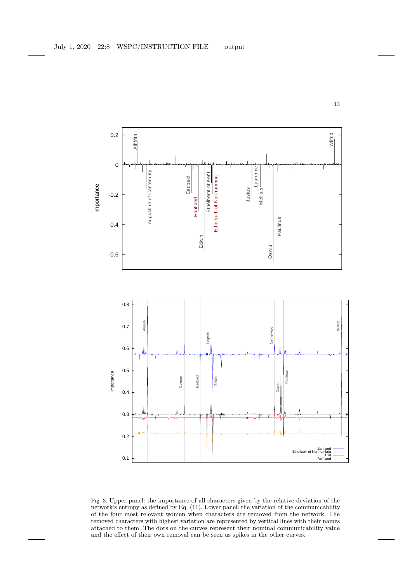

Fig. 3. Upper panel: the importance of all characters given by the relative deviation of the network's entropy as defined by Eq. (11). Lower panel: the variation of the communicability of the four most relevant women when characters are removed from the network. The removed characters with highest variation are represented by vertical lines with their names attached to them. The dots on the curves represent their nominal communicability value and the effect of their own removal can be seen as spikes in the other curves.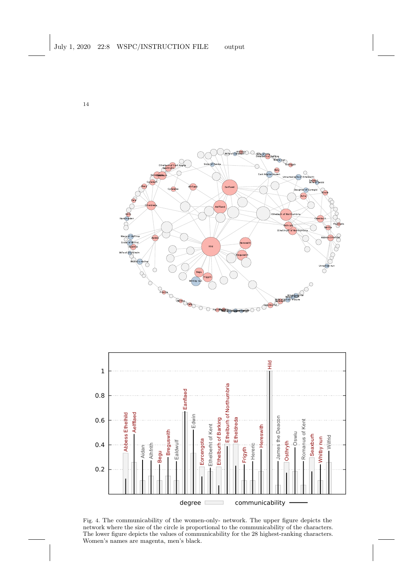



Fig. 4. The communicability of the women-only- network. The upper figure depicts the network where the size of the circle is proportional to the communicability of the characters. The lower figure depicts the values of communicability for the 28 highest-ranking characters. Women's names are magenta, men's black.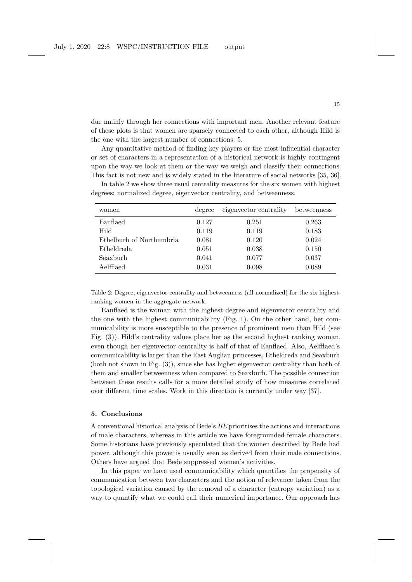due mainly through her connections with important men. Another relevant feature of these plots is that women are sparsely connected to each other, although Hild is the one with the largest number of connections: 5.

Any quantitative method of finding key players or the most influential character or set of characters in a representation of a historical network is highly contingent upon the way we look at them or the way we weigh and classify their connections. This fact is not new and is widely stated in the literature of social networks [35, 36].

| women                    | degree | eigenvector centrality | betweenness |
|--------------------------|--------|------------------------|-------------|
| Eanflaed                 | 0.127  | 0.251                  | 0.263       |
| Hild                     | 0.119  | 0.119                  | 0.183       |
| Ethelburh of Northumbria | 0.081  | 0.120                  | 0.024       |
| Etheldreda               | 0.051  | 0.038                  | 0.150       |
| Seaxburh                 | 0.041  | 0.077                  | 0.037       |
| Aelfflaed                | 0.031  | 0.098                  | 0.089       |

In table 2 we show three usual centrality measures for the six women with highest degrees: normalized degree, eigenvector centrality, and betweenness.

Table 2: Degree, eigenvector centrality and betweenness (all normalized) for the six highestranking women in the aggregate network.

Eanflaed is the woman with the highest degree and eigenvector centrality and the one with the highest communicability (Fig. 1). On the other hand, her communicability is more susceptible to the presence of prominent men than Hild (see Fig. (3)). Hild's centrality values place her as the second highest ranking woman, even though her eigenvector centrality is half of that of Eanflaed. Also, Aelfflaed's communicability is larger than the East Anglian princesses, Etheldreda and Seaxburh (both not shown in Fig. (3)), since she has higher eigenvector centrality than both of them and smaller betweenness when compared to Seaxburh. The possible connection between these results calls for a more detailed study of how measures correlated over different time scales. Work in this direction is currently under way [37].

#### 5. Conclusions

A conventional historical analysis of Bede's HE prioritises the actions and interactions of male characters, whereas in this article we have foregrounded female characters. Some historians have previously speculated that the women described by Bede had power, although this power is usually seen as derived from their male connections. Others have argued that Bede suppressed women's activities.

In this paper we have used communicability which quantifies the propensity of communication between two characters and the notion of relevance taken from the topological variation caused by the removal of a character (entropy variation) as a way to quantify what we could call their numerical importance. Our approach has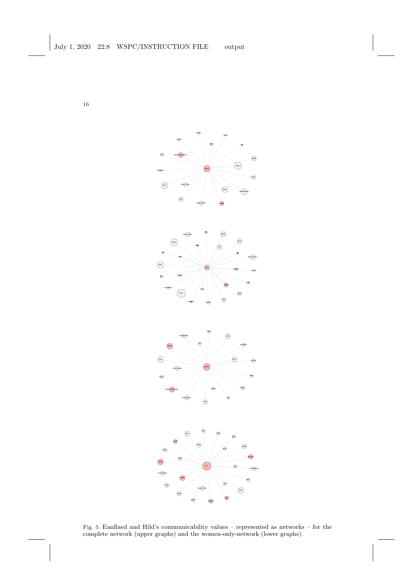

Fig. 5. Eanflaed and Hild's communicability values – represented as networks – for the complete network (upper graphs) and the women-only-network (lower graphs).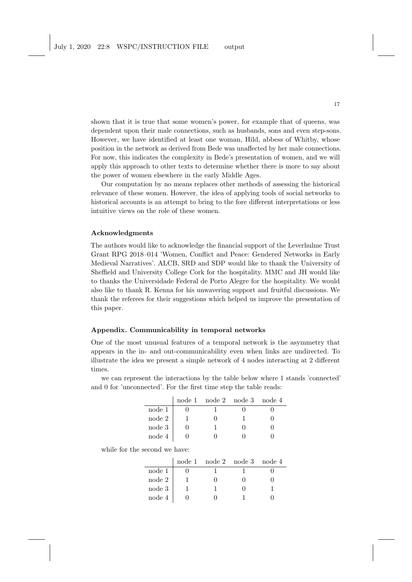shown that it is true that some women's power, for example that of queens, was dependent upon their male connections, such as husbands, sons and even step-sons. However, we have identified at least one woman, Hild, abbess of Whitby, whose position in the network as derived from Bede was unaffected by her male connections. For now, this indicates the complexity in Bede's presentation of women, and we will apply this approach to other texts to determine whether there is more to say about the power of women elsewhere in the early Middle Ages.

Our computation by no means replaces other methods of assessing the historical relevance of these women. However, the idea of applying tools of social networks to historical accounts is an attempt to bring to the fore different interpretations or less intuitive views on the role of these women.

### Acknowledgments

The authors would like to acknowledge the financial support of the Leverhulme Trust Grant RPG 2018–014 'Women, Conflict and Peace: Gendered Networks in Early Medieval Narratives'. ALCB, SRD and SDP would like to thank the University of Sheffield and University College Cork for the hospitality. MMC and JH would like to thanks the Universidade Federal de Porto Alegre for the hospitality. We would also like to thank R. Kenna for his unwavering support and fruitful discussions. We thank the referees for their suggestions which helped us improve the presentation of this paper.

#### Appendix. Communicability in temporal networks

One of the most unusual features of a temporal network is the asymmetry that appears in the in- and out-communicability even when links are undirected. To illustrate the idea we present a simple network of 4 nodes interacting at 2 different times.

we can represent the interactions by the table below where 1 stands 'connected' and 0 for 'unconnected'. For the first time step the table reads:

|          |  | node 1 node 2 node 3 node 4 |  |
|----------|--|-----------------------------|--|
| node 1   |  |                             |  |
| node 2   |  |                             |  |
| node 3   |  |                             |  |
| node $4$ |  |                             |  |

while for the second we have:

|              | node 1 node 2 node 3 node 4 |  |
|--------------|-----------------------------|--|
| node 1       |                             |  |
| $\rm node~2$ |                             |  |
| node 3       |                             |  |
| node 4       |                             |  |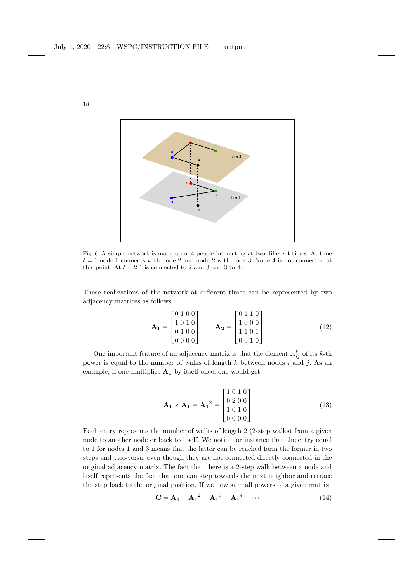

Fig. 6. A simple network is made up of 4 people interacting at two different times. At time  $t = 1$  node 1 connects with node 2 and node 2 with node 3. Node 4 is not connected at this point. At  $t = 2$  1 is connected to 2 and 3 and 3 to 4.

These realizations of the network at different times can be represented by two adjacency matrices as follows:

$$
\mathbf{A_1} = \begin{bmatrix} 0 & 1 & 0 & 0 \\ 1 & 0 & 1 & 0 \\ 0 & 1 & 0 & 0 \\ 0 & 0 & 0 & 0 \end{bmatrix} \qquad \mathbf{A_2} = \begin{bmatrix} 0 & 1 & 1 & 0 \\ 1 & 0 & 0 & 0 \\ 1 & 1 & 0 & 1 \\ 0 & 0 & 1 & 0 \end{bmatrix} \tag{12}
$$

One important feature of an adjacency matrix is that the element  $A_{ij}^k$  of its k-th power is equal to the number of walks of length  $k$  between nodes  $i$  and  $j$ . As an example, if one multiplies  $A_1$  by itself once, one would get:

$$
\mathbf{A_1} \times \mathbf{A_1} = \mathbf{A_1}^2 = \begin{bmatrix} 1 & 0 & 1 & 0 \\ 0 & 2 & 0 & 0 \\ 1 & 0 & 1 & 0 \\ 0 & 0 & 0 & 0 \end{bmatrix}
$$
(13)

Each entry represents the number of walks of length 2 (2-step walks) from a given node to another node or back to itself. We notice for instance that the entry equal to 1 for nodes 1 and 3 means that the latter can be reached form the former in two steps and vice-versa, even though they are not connected directly connected in the original adjacency matrix. The fact that there is a 2-step walk between a node and itself represents the fact that one can step towards the next neighbor and retrace the step back to the original position. If we now sum all powers of a given matrix

$$
C = A_1 + A_1^2 + A_1^3 + A_1^4 + \cdots
$$
 (14)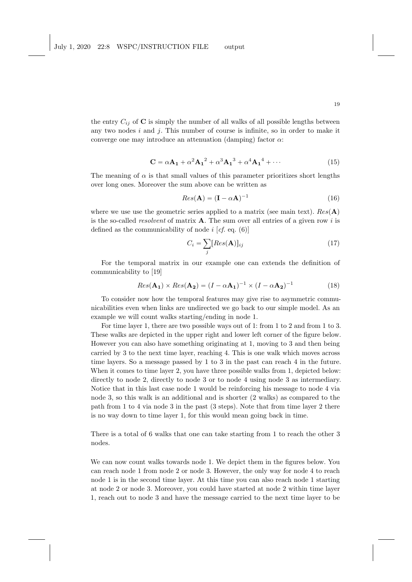the entry  $C_{ij}$  of  $C$  is simply the number of all walks of all possible lengths between any two nodes  $i$  and  $j$ . This number of course is infinite, so in order to make it converge one may introduce an attenuation (damping) factor  $\alpha$ :

$$
\mathbf{C} = \alpha \mathbf{A_1} + \alpha^2 \mathbf{A_1}^2 + \alpha^3 \mathbf{A_1}^3 + \alpha^4 \mathbf{A_1}^4 + \cdots
$$
 (15)

The meaning of  $\alpha$  is that small values of this parameter prioritizes short lengths over long ones. Moreover the sum above can be written as

$$
Res(\mathbf{A}) = (\mathbf{I} - \alpha \mathbf{A})^{-1}
$$
 (16)

where we use use the geometric series applied to a matrix (see main text).  $Res(A)$ is the so-called *resolvent* of matrix  $\bf{A}$ . The sum over all entries of a given row i is defined as the communicability of node  $i$  [cf. eq. (6)]

$$
C_i = \sum_{j} [Res(\mathbf{A})]_{ij} \tag{17}
$$

For the temporal matrix in our example one can extends the definition of communicability to [19]

$$
Res(\mathbf{A_1}) \times Res(\mathbf{A_2}) = (I - \alpha \mathbf{A_1})^{-1} \times (I - \alpha \mathbf{A_2})^{-1}
$$
(18)

To consider now how the temporal features may give rise to asymmetric communicabilities even when links are undirected we go back to our simple model. As an example we will count walks starting/ending in node 1.

For time layer 1, there are two possible ways out of 1: from 1 to 2 and from 1 to 3. These walks are depicted in the upper right and lower left corner of the figure below. However you can also have something originating at 1, moving to 3 and then being carried by 3 to the next time layer, reaching 4. This is one walk which moves across time layers. So a message passed by 1 to 3 in the past can reach 4 in the future. When it comes to time layer 2, you have three possible walks from 1, depicted below: directly to node 2, directly to node 3 or to node 4 using node 3 as intermediary. Notice that in this last case node 1 would be reinforcing his message to node 4 via node 3, so this walk is an additional and is shorter (2 walks) as compared to the path from 1 to 4 via node 3 in the past (3 steps). Note that from time layer 2 there is no way down to time layer 1, for this would mean going back in time.

There is a total of 6 walks that one can take starting from 1 to reach the other 3 nodes.

We can now count walks towards node 1. We depict them in the figures below. You can reach node 1 from node 2 or node 3. However, the only way for node 4 to reach node 1 is in the second time layer. At this time you can also reach node 1 starting at node 2 or node 3. Moreover, you could have started at node 2 within time layer 1, reach out to node 3 and have the message carried to the next time layer to be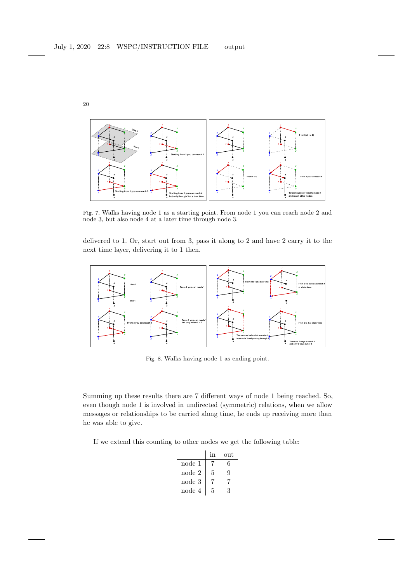

Fig. 7. Walks having node 1 as a starting point. From node 1 you can reach node 2 and node 3, but also node 4 at a later time through node 3.

delivered to 1. Or, start out from 3, pass it along to 2 and have 2 carry it to the next time layer, delivering it to 1 then.



Fig. 8. Walks having node 1 as ending point.

Summing up these results there are 7 different ways of node 1 being reached. So, even though node 1 is involved in undirected (symmetric) relations, when we allow messages or relationships to be carried along time, he ends up receiving more than he was able to give.

If we extend this counting to other nodes we get the following table:

|        | <sub>1</sub> n | out |
|--------|----------------|-----|
| node 1 |                | 6   |
| node 2 | 5              | g   |
| node 3 |                | 7   |
| node 4 | 5              | ર   |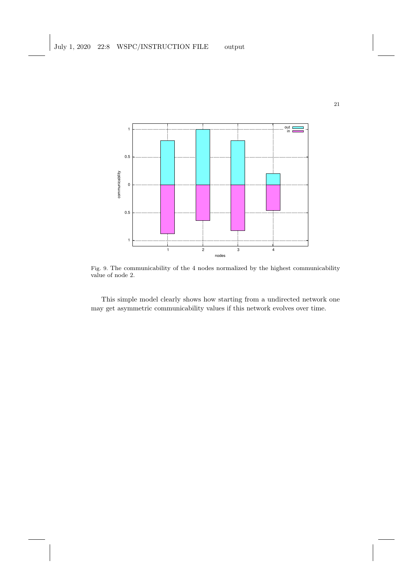

Fig. 9. The communicability of the 4 nodes normalized by the highest communicability value of node 2.

This simple model clearly shows how starting from a undirected network one may get asymmetric communicability values if this network evolves over time.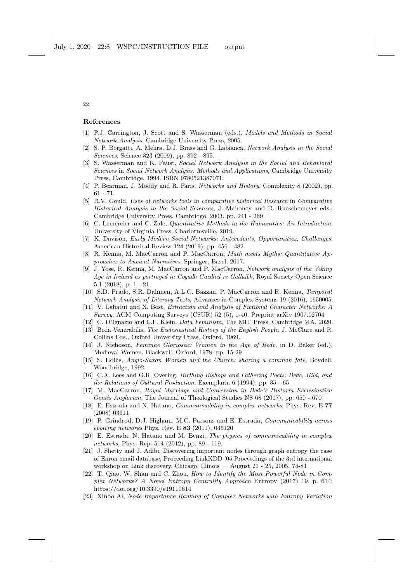#### References

- [1] P.J. Carrington, J. Scott and S. Wasserman (eds.), *Models and Methods in Social Network Analysis*, Cambridge University Press, 2005.
- [2] S. P. Borgatti, A. Mehra, D.J. Brass and G. Labianca, *Network Analysis in the Social Sciences*, Science 323 (2009), pp. 892 - 895.
- [3] S. Wasserman and K. Faust, *Social Network Analysis in the Social and Behavioral Sciences* in *Social Network Analysis: Methods and Applications*, Cambridge University Press, Cambridge, 1994. ISBN 9780521387071.
- [4] P. Bearman, J. Moody and R. Faris, *Networks and History*, Complexity 8 (2002), pp. 61 - 71.
- [5] R.V. Gould, *Uses of networks tools in comparative historical Research* in *Comparative Historical Analysis in the Social Sciences*, J. Mahoney and D. Rueschemeyer eds., Cambridge University Press, Cambridge, 2003, pp. 241 - 269.
- [6] C. Lemercier and C. Zalc, *Quantitative Methods in the Humanities: An Introduction*, University of Virginia Press, Charlottesville, 2019.
- [7] K. Davison, *Early Modern Social Networks: Antecedents, Opportunities, Challenges*, American Historical Review 124 (2019), pp. 456 - 482.
- [8] R. Kenna, M. MacCarron and P. MacCarron, *Math meets Myths: Quantitative Approaches to Ancient Narratives*, Springer, Basel, 2017.
- [9] J. Yose, R. Kenna, M. MacCarron and P. MacCarron, *Network analysis of the Viking Age in Ireland as portrayed in Cogadh Gaedhel re Gallaibh*, Royal Society Open Science 5,1 (2018), p. 1 - 21.
- [10] S.D. Prado, S.R. Dahmen, A.L.C. Bazzan, P. MacCarron and R. Kenna, *Temporal Network Analysis of Literary Texts*, Advances in Complex Systems 19 (2016), 1650005.
- [11] V. Labatut and X. Bost, *Extraction and Analysis of Fictional Character Networks: A Survey*, ACM Computing Surveys (CSUR) 52 (5), 1-40. Preprint arXiv:1907.02704
- [12] C. D'Ignazio and L.F. Klein, *Data Feminism*, The MIT Press, Cambridge MA, 2020.
- [13] Beda Venerabilis, *The Ecclesiastical History of the English People*, J. McClure and R. Collins Eds., Oxford University Press, Oxford, 1969.
- [14] J. Nichoson, *Feminae Gloriosae: Women in the Age of Bede*, in D. Baker (ed.), Medieval Women, Blackwell, Oxford, 1978, pp. 15-29
- [15] S. Hollis, *Anglo-Saxon Women and the Church: sharing a common fate*, Boydell, Woodbridge, 1992.
- [16] C.A. Lees and G.R. Overing, *Birthing Bishops and Fathering Poets: Bede, Hild, and the Relations of Cultural Production*, Exemplaria 6 (1994), pp. 35 - 65
- [17] M. MacCarron, *Royal Marriage and Conversion in Bede's Historia Ecclesiastica Gentis Anglorum*, The Journal of Theological Studies NS 68 (2017), pp. 650 - 670
- [18] E. Estrada and N. Hatano, *Communicability in complex networks*, Phys. Rev. E 77 (2008) 03611
- [19] P. Grindrod, D.J. Higham, M.C. Parsons and E. Estrada, *Communicability across evolving networks* Phys. Rev. E 83 (2011), 046120
- [20] E. Estrada, N. Hatano and M. Benzi, *The physics of communicability in complex networks*, Phys. Rep. 514 (2012), pp. 89 - 119.
- [21] J. Shetty and J. Adibi, Discovering important nodes through graph entropy the case of Enron email database, Proceeding LinkKDD '05 Proceedings of the 3rd international workshop on Link discovery, Chicago, Illinois — August 21 - 25, 2005, 74-81
- [22] T. Qiao, W. Shan and C. Zhou, *How to Identify the Most Powerful Node in Complex Networks? A Novel Entropy Centrality Approach* Entropy (2017) 19, p. 614; https://doi.org/10.3390/e19110614
- [23] Xinbo Ai, *Node Importance Ranking of Complex Networks with Entropy Variation*